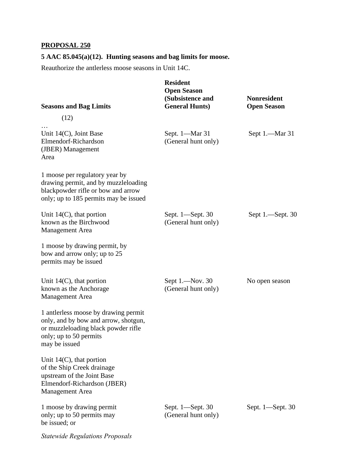## **PROPOSAL 250**

**5 AAC 85.045(a)(12). Hunting seasons and bag limits for moose.** 

Reauthorize the antlerless moose seasons in Unit 14C.

| <b>Seasons and Bag Limits</b>                                                                                                                                  | <b>Resident</b><br><b>Open Season</b><br>(Subsistence and<br><b>General Hunts)</b> | <b>Nonresident</b><br><b>Open Season</b> |
|----------------------------------------------------------------------------------------------------------------------------------------------------------------|------------------------------------------------------------------------------------|------------------------------------------|
| (12)                                                                                                                                                           |                                                                                    |                                          |
| Unit $14(C)$ , Joint Base<br>Elmendorf-Richardson<br>(JBER) Management<br>Area                                                                                 | Sept. 1-Mar 31<br>(General hunt only)                                              | Sept 1.—Mar 31                           |
| 1 moose per regulatory year by<br>drawing permit, and by muzzleloading<br>blackpowder rifle or bow and arrow<br>only; up to 185 permits may be issued          |                                                                                    |                                          |
| Unit $14(C)$ , that portion<br>known as the Birchwood<br>Management Area                                                                                       | Sept. 1-Sept. 30<br>(General hunt only)                                            | Sept $1$ .—Sept. 30                      |
| 1 moose by drawing permit, by<br>bow and arrow only; up to 25<br>permits may be issued                                                                         |                                                                                    |                                          |
| Unit $14(C)$ , that portion<br>known as the Anchorage<br><b>Management</b> Area                                                                                | Sept 1.-Nov. 30<br>(General hunt only)                                             | No open season                           |
| 1 antlerless moose by drawing permit<br>only, and by bow and arrow, shotgun,<br>or muzzleloading black powder rifle<br>only; up to 50 permits<br>may be issued |                                                                                    |                                          |
| Unit $14(C)$ , that portion<br>of the Ship Creek drainage<br>upstream of the Joint Base<br>Elmendorf-Richardson (JBER)<br><b>Management Area</b>               |                                                                                    |                                          |
| 1 moose by drawing permit<br>only; up to 50 permits may<br>be issued; or                                                                                       | Sept. 1—Sept. 30<br>(General hunt only)                                            | Sept. 1—Sept. 30                         |

*Statewide Regulations Proposals*